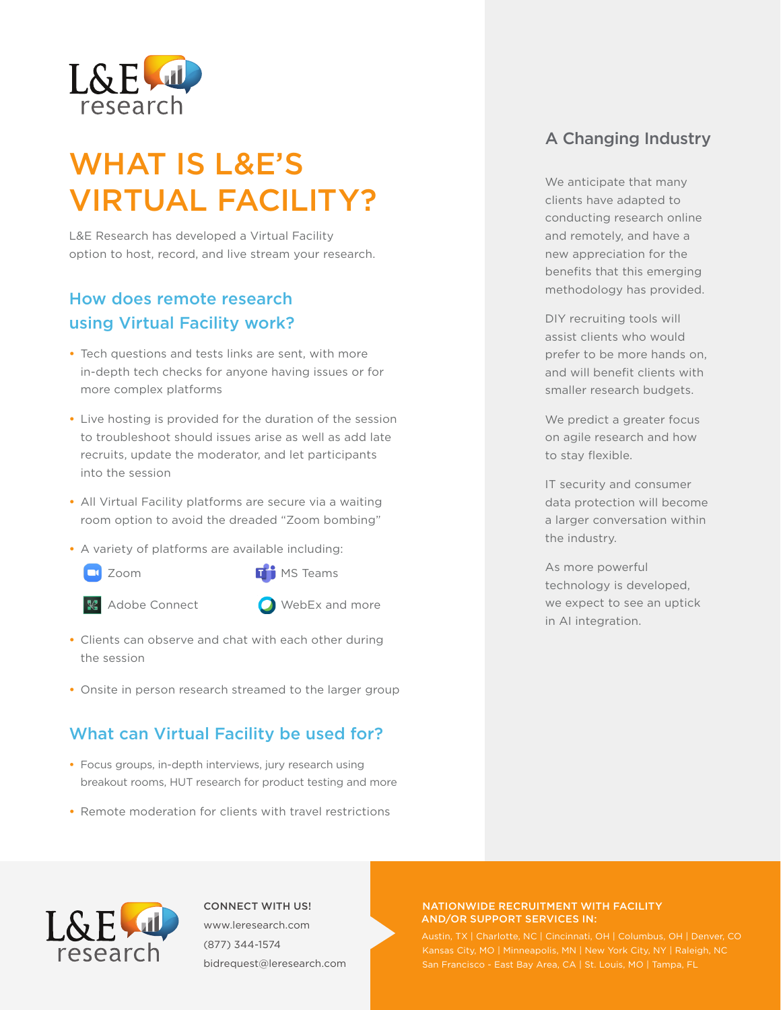

# WHAT IS L&E'S VIRTUAL FACILITY?

L&E Research has developed a Virtual Facility option to host, record, and live stream your research.

## How does remote research using Virtual Facility work?

- **•** Tech questions and tests links are sent, with more in-depth tech checks for anyone having issues or for more complex platforms
- **•** Live hosting is provided for the duration of the session to troubleshoot should issues arise as well as add late recruits, update the moderator, and let participants into the session
- **•** All Virtual Facility platforms are secure via a waiting room option to avoid the dreaded "Zoom bombing"
- **•** A variety of platforms are available including:
	- **U** Zoom
- MS Teams »
- **Adobe Connect**
- WebEx and more »
- **•** Clients can observe and chat with each other during the session
- **•** Onsite in person research streamed to the larger group

## What can Virtual Facility be used for?

- **•** Focus groups, in-depth interviews, jury research using breakout rooms, HUT research for product testing and more
- **•** Remote moderation for clients with travel restrictions

## A Changing Industry

We anticipate that many clients have adapted to conducting research online and remotely, and have a new appreciation for the benefits that this emerging methodology has provided.

DIY recruiting tools will assist clients who would prefer to be more hands on, and will benefit clients with smaller research budgets.

We predict a greater focus on agile research and how to stay flexible.

IT security and consumer data protection will become a larger conversation within the industry.

As more powerful technology is developed, we expect to see an uptick in AI integration.



CONNECT WITH US! www.leresearch.com (877) 344-1574 bidrequest@leresearch.com

#### NATIONWIDE RECRUITMENT WITH FACILITY AND/OR SUPPORT SERVICES IN:

Austin, TX | Charlotte, NC | Cincinnati, OH | Columbus, OH | Denver, CO San Francisco - East Bay Area, CA | St. Louis, MO | Tampa, FL